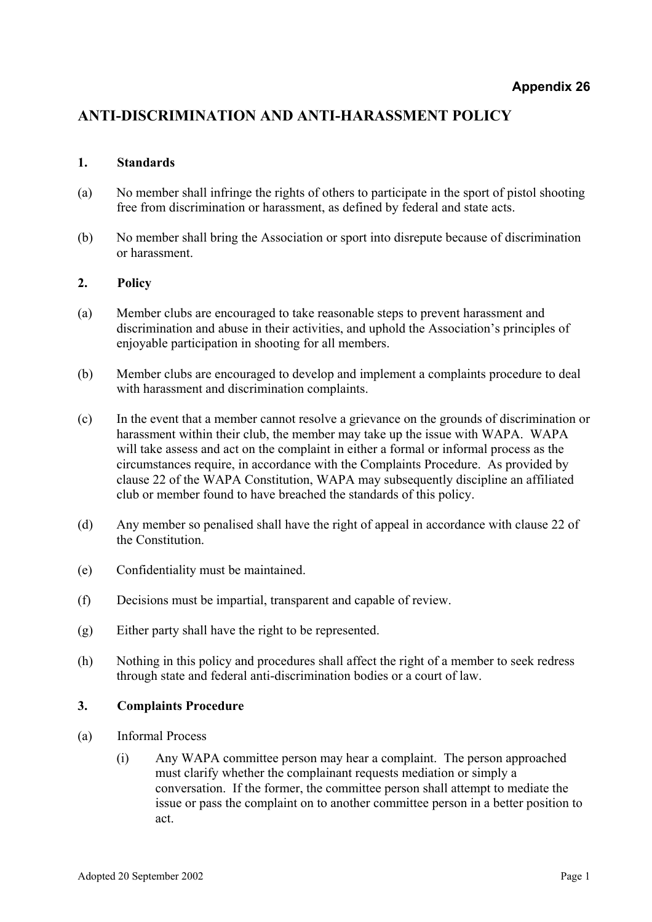## **ANTI-DISCRIMINATION AND ANTI-HARASSMENT POLICY**

## **1. Standards**

- (a) No member shall infringe the rights of others to participate in the sport of pistol shooting free from discrimination or harassment, as defined by federal and state acts.
- (b) No member shall bring the Association or sport into disrepute because of discrimination or harassment.

## **2. Policy**

- (a) Member clubs are encouraged to take reasonable steps to prevent harassment and discrimination and abuse in their activities, and uphold the Association's principles of enjoyable participation in shooting for all members.
- (b) Member clubs are encouraged to develop and implement a complaints procedure to deal with harassment and discrimination complaints.
- (c) In the event that a member cannot resolve a grievance on the grounds of discrimination or harassment within their club, the member may take up the issue with WAPA. WAPA will take assess and act on the complaint in either a formal or informal process as the circumstances require, in accordance with the Complaints Procedure. As provided by clause 22 of the WAPA Constitution, WAPA may subsequently discipline an affiliated club or member found to have breached the standards of this policy.
- (d) Any member so penalised shall have the right of appeal in accordance with clause 22 of the Constitution.
- (e) Confidentiality must be maintained.
- (f) Decisions must be impartial, transparent and capable of review.
- (g) Either party shall have the right to be represented.
- (h) Nothing in this policy and procedures shall affect the right of a member to seek redress through state and federal anti-discrimination bodies or a court of law.

## **3. Complaints Procedure**

- (a) Informal Process
	- (i) Any WAPA committee person may hear a complaint. The person approached must clarify whether the complainant requests mediation or simply a conversation. If the former, the committee person shall attempt to mediate the issue or pass the complaint on to another committee person in a better position to act.